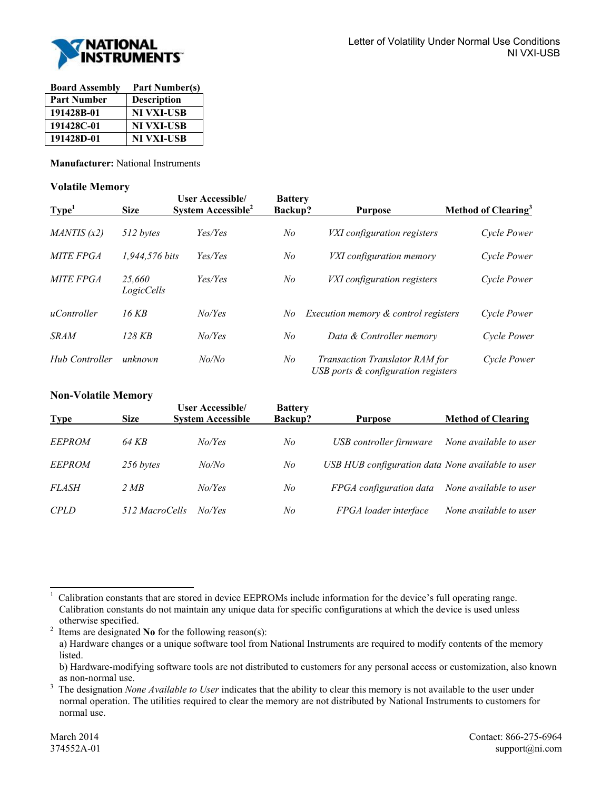

| <b>Board Assembly</b> | <b>Part Number(s)</b> |
|-----------------------|-----------------------|
| <b>Part Number</b>    | <b>Description</b>    |
| 191428B-01            | <b>NI VXI-USB</b>     |
| 191428C-01            | NI VXI-USB            |
| 191428D-01            | NI VXI-USB            |

**Manufacturer:** National Instruments

## **Volatile Memory**

| Type <sup>1</sup> | <b>Size</b>          | <b>User Accessible/</b><br>System Accessible <sup>2</sup> | <b>Battery</b><br>Backup? | <b>Purpose</b>                                                               | Method of Clearing <sup>3</sup> |
|-------------------|----------------------|-----------------------------------------------------------|---------------------------|------------------------------------------------------------------------------|---------------------------------|
| MANTIS(x2)        | 512 bytes            | Yes/Yes                                                   | N <sub>o</sub>            | <i>VXI</i> configuration registers                                           | Cycle Power                     |
| <b>MITE FPGA</b>  | 1.944.576 bits       | Yes/Yes                                                   | No                        | <i>VXI</i> configuration memory                                              | Cycle Power                     |
| <b>MITE FPGA</b>  | 25.660<br>LogicCells | Yes/Yes                                                   | N <sub>o</sub>            | VXI configuration registers                                                  | Cycle Power                     |
| uController       | 16 KB                | No/Ves                                                    | No                        | Execution memory & control registers                                         | Cycle Power                     |
| <b>SRAM</b>       | 128 KB               | No/Ves                                                    | No                        | Data & Controller memory                                                     | Cycle Power                     |
| Hub Controller    | unknown              | No/No                                                     | No                        | <b>Transaction Translator RAM for</b><br>USB ports & configuration registers | Cycle Power                     |

## **Non-Volatile Memory**

| <b>Type</b>   | <b>Size</b>    | <b>User Accessible/</b><br><b>System Accessible</b> | <b>Battery</b><br>Backup? | <b>Purpose</b>                                    | <b>Method of Clearing</b> |
|---------------|----------------|-----------------------------------------------------|---------------------------|---------------------------------------------------|---------------------------|
| <b>EEPROM</b> | 64 KB          | No/Ves                                              | No                        | USB controller firmware                           | None available to user    |
| <b>EEPROM</b> | 256 bytes      | No/No                                               | No                        | USB HUB configuration data None available to user |                           |
| <i>FLASH</i>  | 2 MB           | No/Ves                                              | No                        | FPGA configuration data                           | None available to user    |
| <b>CPLD</b>   | 512 MacroCells | No/Yes                                              | No                        | FPGA loader interface                             | None available to user    |

l

<sup>1</sup> Calibration constants that are stored in device EEPROMs include information for the device's full operating range. Calibration constants do not maintain any unique data for specific configurations at which the device is used unless otherwise specified.<br> $\frac{2}{1}$  Items are designated

Items are designated **No** for the following reason(s):

a) Hardware changes or a unique software tool from National Instruments are required to modify contents of the memory listed.

b) Hardware-modifying software tools are not distributed to customers for any personal access or customization, also known as non-normal use.<br> $\frac{3}{7}$  The designation No

The designation *None Available to User* indicates that the ability to clear this memory is not available to the user under normal operation. The utilities required to clear the memory are not distributed by National Instruments to customers for normal use.